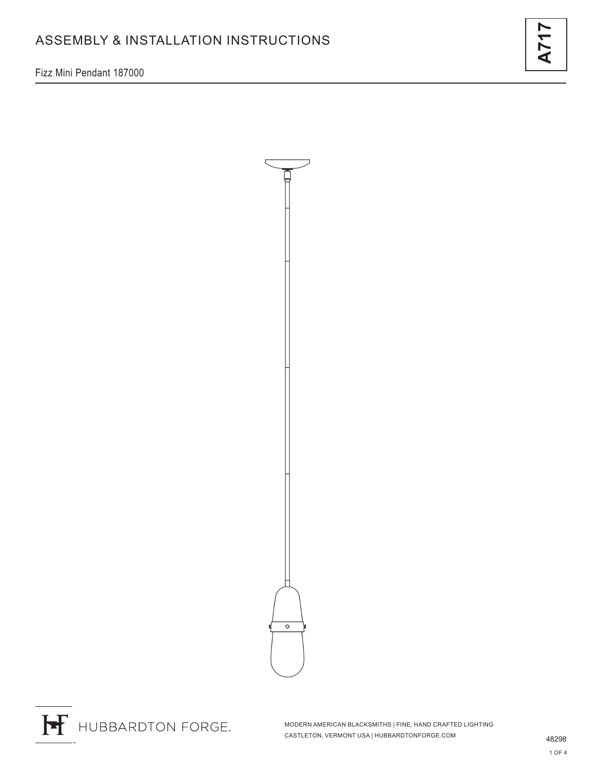Fizz Mini Pendant 187000





H HUBBARDTON FORGE.

MODERN AMERICAN BLACKSMITHS | FINE, HAND CRAFTED LIGHTING CASTLETON, VERMONT USA | HUBBARDTONFORGE.COM 48298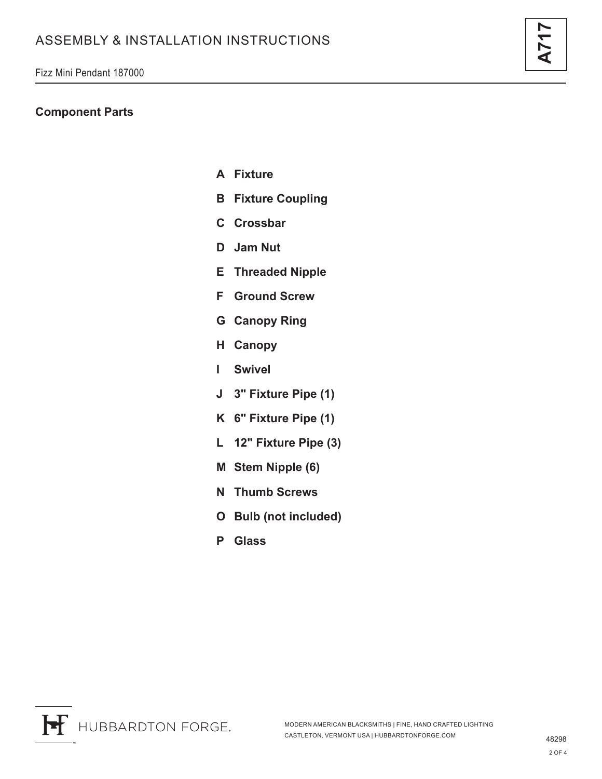#### **Component Parts**

- **A Fixture**
- **B Fixture Coupling**
- **C Crossbar**
- **D Jam Nut**
- **E Threaded Nipple**
- **F Ground Screw**
- **G Canopy Ring**
- **H Canopy**
- **I Swivel**
- **J 3" Fixture Pipe (1)**
- **K 6" Fixture Pipe (1)**
- **L 12" Fixture Pipe (3)**
- **M Stem Nipple (6)**
- **N Thumb Screws**
- **O Bulb (not included)**
- **P Glass**

H HUBBARDTON FORGE.

**A717**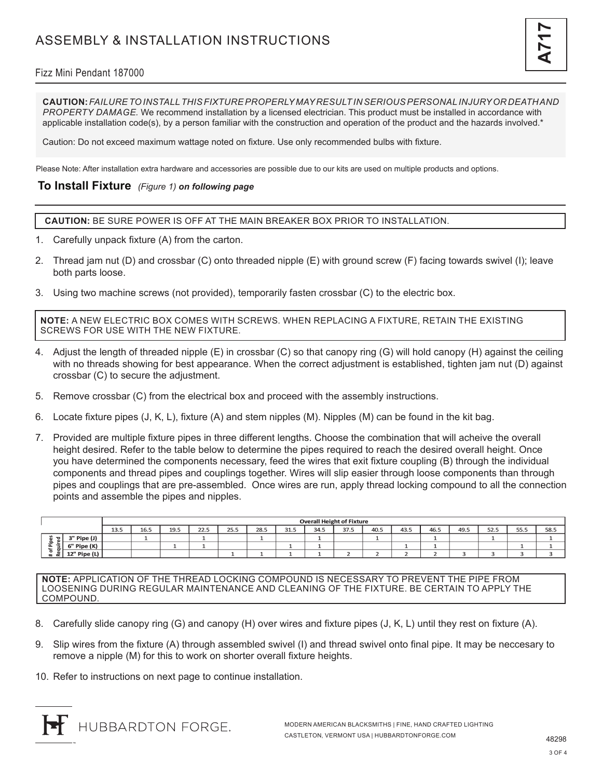## Fizz Mini Pendant 187000

**CAUTION:** *FAILURE TO INSTALL THIS FIXTURE PROPERLY MAY RESULT IN SERIOUS PERSONAL INJURY OR DEATH AND PROPERTY DAMAGE.* We recommend installation by a licensed electrician. This product must be installed in accordance with applicable installation code(s), by a person familiar with the construction and operation of the product and the hazards involved.\*

Caution: Do not exceed maximum wattage noted on fixture. Use only recommended bulbs with fixture.

Please Note: After installation extra hardware and accessories are possible due to our kits are used on multiple products and options.

### **To Install Fixture** *(Figure 1) on following page*

**CAUTION:** BE SURE POWER IS OFF AT THE MAIN BREAKER BOX PRIOR TO INSTALLATION.

- 1. Carefully unpack fixture (A) from the carton.
- 2. Thread jam nut (D) and crossbar (C) onto threaded nipple (E) with ground screw (F) facing towards swivel (I); leave both parts loose.
- 3. Using two machine screws (not provided), temporarily fasten crossbar (C) to the electric box.

**NOTE:** A NEW ELECTRIC BOX COMES WITH SCREWS. WHEN REPLACING A FIXTURE, RETAIN THE EXISTING SCREWS FOR USE WITH THE NEW FIXTURE.

- 4. Adjust the length of threaded nipple (E) in crossbar (C) so that canopy ring (G) will hold canopy (H) against the ceiling with no threads showing for best appearance. When the correct adjustment is established, tighten jam nut (D) against crossbar (C) to secure the adjustment.
- 5. Remove crossbar (C) from the electrical box and proceed with the assembly instructions.
- 6. Locate fixture pipes (J, K, L), fixture (A) and stem nipples (M). Nipples (M) can be found in the kit bag.
- 7. Provided are multiple fixture pipes in three different lengths. Choose the combination that will acheive the overall height desired. Refer to the table below to determine the pipes required to reach the desired overall height. Once you have determined the components necessary, feed the wires that exit fixture coupling (B) through the individual components and thread pipes and couplings together. Wires will slip easier through loose components than through pipes and couplings that are pre-assembled. Once wires are run, apply thread locking compound to all the connection points and assemble the pipes and nipples.

|                               |              | <b>Overall Height of Fixture</b> |      |      |      |      |      |      |      |      |      |      |      |      |      |      |      |
|-------------------------------|--------------|----------------------------------|------|------|------|------|------|------|------|------|------|------|------|------|------|------|------|
|                               |              | 13.5                             | 16.5 | 19.5 | 22.5 | 25.5 | 28.5 | 31.5 | 34.5 | 37.5 | 40.5 | 43.5 | 46.5 | 49.5 | 52.5 | 55.5 | 58.5 |
| ਿੱਹ।<br>.은<br>$=$<br>௨<br># ⊄ | 3" Pipe (J)  |                                  |      |      |      |      |      |      |      |      |      |      |      |      |      |      |      |
|                               | 6" Pipe (K)  |                                  |      |      |      |      |      |      |      |      |      |      | -    |      |      |      |      |
|                               | 12" Pipe (L) |                                  |      |      |      |      |      |      |      |      |      |      |      |      |      |      |      |

**NOTE:** APPLICATION OF THE THREAD LOCKING COMPOUND IS NECESSARY TO PREVENT THE PIPE FROM LOOSENING DURING REGULAR MAINTENANCE AND CLEANING OF THE FIXTURE. BE CERTAIN TO APPLY THE COMPOUND.

- 8. Carefully slide canopy ring (G) and canopy (H) over wires and fixture pipes (J, K, L) until they rest on fixture (A).
- 9. Slip wires from the fixture (A) through assembled swivel (I) and thread swivel onto final pipe. It may be neccesary to remove a nipple (M) for this to work on shorter overall fixture heights.
- 10. Refer to instructions on next page to continue installation.